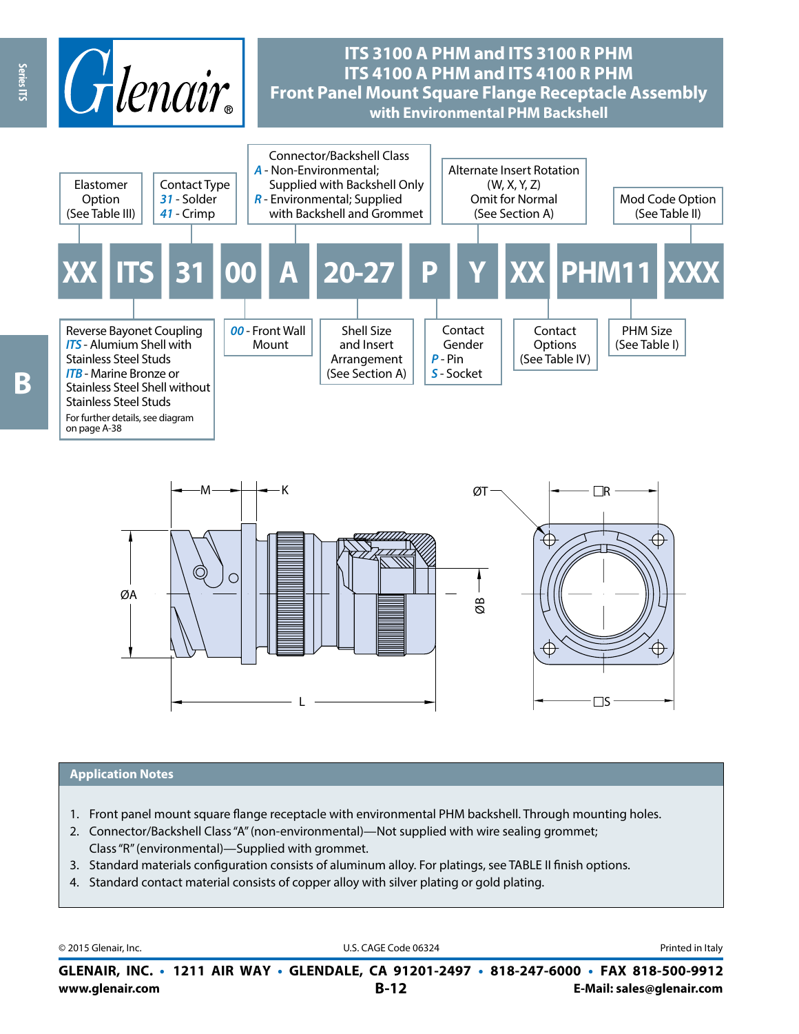



#### **Application Notes**

- 1. Front panel mount square flange receptacle with environmental PHM backshell. Through mounting holes.
- 2. Connector/Backshell Class "A" (non-environmental)—Not supplied with wire sealing grommet; Class "R" (environmental)—Supplied with grommet.
- 3. Standard materials configuration consists of aluminum alloy. For platings, see TABLE II finish options.
- 4. Standard contact material consists of copper alloy with silver plating or gold plating.

© 2015 Glenair, Inc. **Discription Construction Construction Construction Construction Construction Construction Construction Construction Construction Construction Construction Construction Construction Construction Constr** 

**www.glenair.com B-12 E-Mail: sales@glenair.com GLENAIR, INC. • 1211 AIR WAY • GLENDALE, CA 91201-2497 • 818-247-6000 • FAX 818-500-9912**